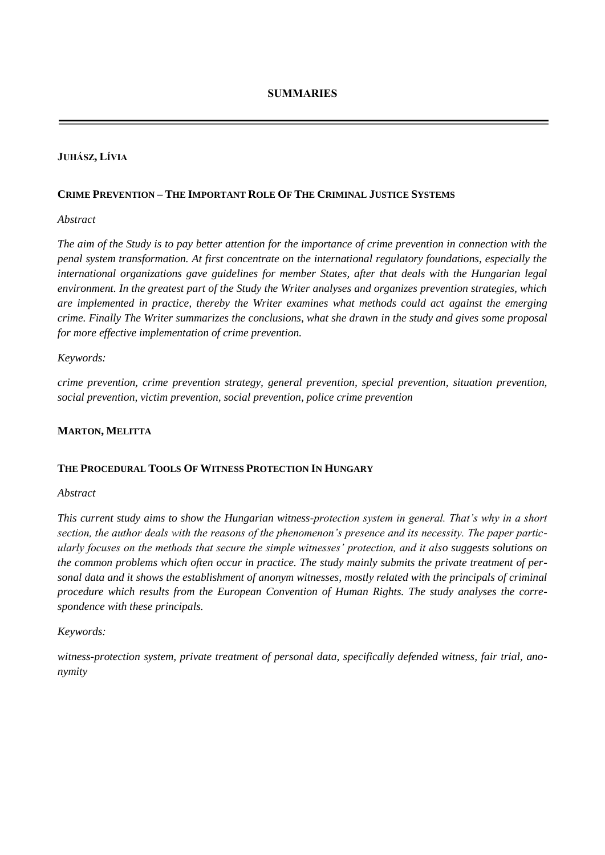### **JUHÁSZ, LÍVIA**

#### **CRIME PREVENTION – THE IMPORTANT ROLE OF THE CRIMINAL JUSTICE SYSTEMS**

#### *Abstract*

*The aim of the Study is to pay better attention for the importance of crime prevention in connection with the penal system transformation. At first concentrate on the international regulatory foundations, especially the international organizations gave guidelines for member States, after that deals with the Hungarian legal environment. In the greatest part of the Study the Writer analyses and organizes prevention strategies, which are implemented in practice, thereby the Writer examines what methods could act against the emerging crime. Finally The Writer summarizes the conclusions, what she drawn in the study and gives some proposal for more effective implementation of crime prevention.* 

#### *Keywords:*

*crime prevention, crime prevention strategy, general prevention, special prevention, situation prevention, social prevention, victim prevention, social prevention, police crime prevention* 

#### **MARTON, MELITTA**

#### **THE PROCEDURAL TOOLS OF WITNESS PROTECTION IN HUNGARY**

#### *Abstract*

*This current study aims to show the Hungarian witness-protection system in general. That's why in a short section, the author deals with the reasons of the phenomenon's presence and its necessity. The paper particularly focuses on the methods that secure the simple witnesses' protection, and it also suggests solutions on the common problems which often occur in practice. The study mainly submits the private treatment of personal data and it shows the establishment of anonym witnesses, mostly related with the principals of criminal procedure which results from the European Convention of Human Rights. The study analyses the correspondence with these principals.* 

#### *Keywords:*

*witness-protection system, private treatment of personal data, specifically defended witness, fair trial, anonymity*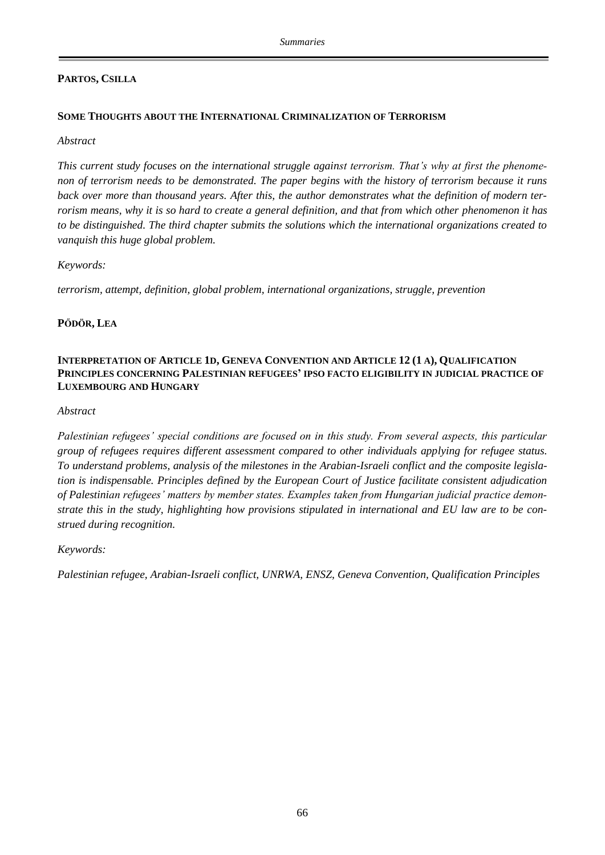# **PARTOS, CSILLA**

# **SOME THOUGHTS ABOUT THE INTERNATIONAL CRIMINALIZATION OF TERRORISM**

### *Abstract*

*This current study focuses on the international struggle against terrorism. That's why at first the phenomenon of terrorism needs to be demonstrated. The paper begins with the history of terrorism because it runs back over more than thousand years. After this, the author demonstrates what the definition of modern terrorism means, why it is so hard to create a general definition, and that from which other phenomenon it has to be distinguished. The third chapter submits the solutions which the international organizations created to vanquish this huge global problem.*

## *Keywords:*

*terrorism, attempt, definition, global problem, international organizations, struggle, prevention*

# **PŐDÖR, LEA**

### **INTERPRETATION OF ARTICLE 1D, GENEVA CONVENTION AND ARTICLE 12 (1 A), QUALIFICATION PRINCIPLES CONCERNING PALESTINIAN REFUGEES' IPSO FACTO ELIGIBILITY IN JUDICIAL PRACTICE OF LUXEMBOURG AND HUNGARY**

## *Abstract*

*Palestinian refugees' special conditions are focused on in this study. From several aspects, this particular group of refugees requires different assessment compared to other individuals applying for refugee status. To understand problems, analysis of the milestones in the Arabian-Israeli conflict and the composite legislation is indispensable. Principles defined by the European Court of Justice facilitate consistent adjudication of Palestinian refugees' matters by member states. Examples taken from Hungarian judicial practice demonstrate this in the study, highlighting how provisions stipulated in international and EU law are to be construed during recognition.*

# *Keywords:*

*Palestinian refugee, Arabian-Israeli conflict, UNRWA, ENSZ, Geneva Convention, Qualification Principles*